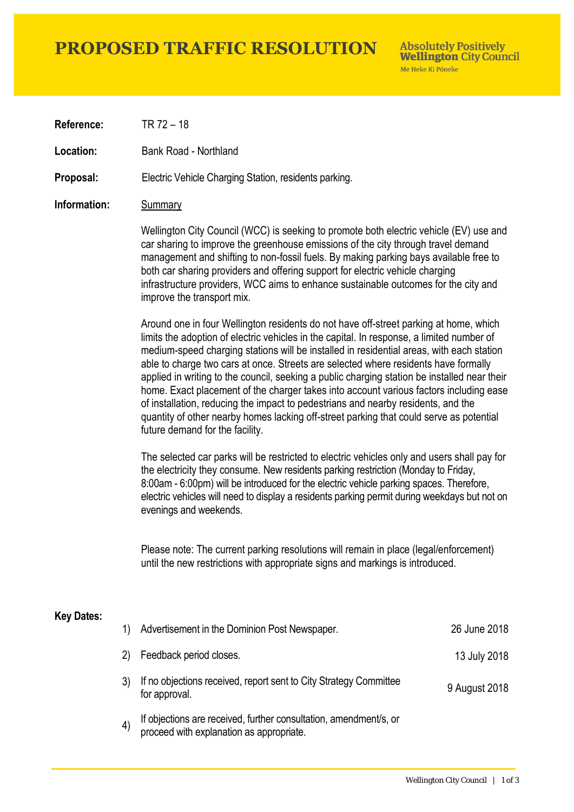## **PROPOSED TRAFFIC RESOLUTION**

**Absolutely Positively Wellington City Council** Me Heke Ki Pôneke

**Reference:** TR 72 – 18

**Location:** Bank Road - Northland

**Proposal:** Electric Vehicle Charging Station, residents parking.

#### **Information:** Summary

Wellington City Council (WCC) is seeking to promote both electric vehicle (EV) use and car sharing to improve the greenhouse emissions of the city through travel demand management and shifting to non-fossil fuels. By making parking bays available free to both car sharing providers and offering support for electric vehicle charging infrastructure providers, WCC aims to enhance sustainable outcomes for the city and improve the transport mix.

Around one in four Wellington residents do not have off-street parking at home, which limits the adoption of electric vehicles in the capital. In response, a limited number of medium-speed charging stations will be installed in residential areas, with each station able to charge two cars at once. Streets are selected where residents have formally applied in writing to the council, seeking a public charging station be installed near their home. Exact placement of the charger takes into account various factors including ease of installation, reducing the impact to pedestrians and nearby residents, and the quantity of other nearby homes lacking off-street parking that could serve as potential future demand for the facility.

The selected car parks will be restricted to electric vehicles only and users shall pay for the electricity they consume. New residents parking restriction (Monday to Friday, 8:00am - 6:00pm) will be introduced for the electric vehicle parking spaces. Therefore, electric vehicles will need to display a residents parking permit during weekdays but not on evenings and weekends.

Please note: The current parking resolutions will remain in place (legal/enforcement) until the new restrictions with appropriate signs and markings is introduced.

#### **Key Dates:**

|         | Advertisement in the Dominion Post Newspaper.                                                                 | 26 June 2018  |
|---------|---------------------------------------------------------------------------------------------------------------|---------------|
| 2)      | Feedback period closes.                                                                                       | 13 July 2018  |
|         | If no objections received, report sent to City Strategy Committee<br>for approval.                            | 9 August 2018 |
| $\vert$ | If objections are received, further consultation, amendment/s, or<br>proceed with explanation as appropriate. |               |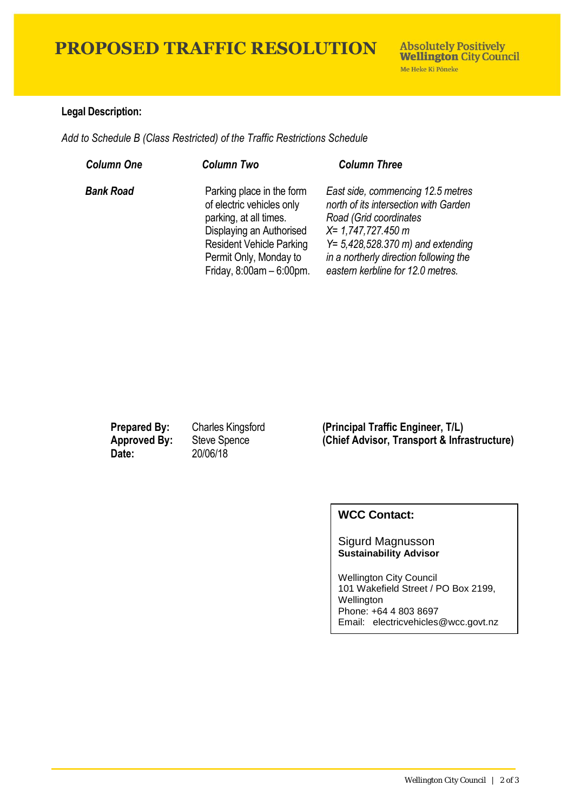## **PROPOSED TRAFFIC RESOLUTION**

### **Legal Description:**

*Add to Schedule B (Class Restricted) of the Traffic Restrictions Schedule* 

| <b>Column One</b> | <b>Column Two</b>                                                                                                                                                                                        | <b>Column Three</b>                                                                                                                                                                                                                                         |
|-------------------|----------------------------------------------------------------------------------------------------------------------------------------------------------------------------------------------------------|-------------------------------------------------------------------------------------------------------------------------------------------------------------------------------------------------------------------------------------------------------------|
| <b>Bank Road</b>  | Parking place in the form<br>of electric vehicles only<br>parking, at all times.<br>Displaying an Authorised<br><b>Resident Vehicle Parking</b><br>Permit Only, Monday to<br>Friday, $8:00am - 6:00pm$ . | East side, commencing 12.5 metres<br>north of its intersection with Garden<br>Road (Grid coordinates<br>$X = 1,747,727.450$ m<br>$Y = 5,428,528.370 \text{ m}$ and extending<br>in a northerly direction following the<br>eastern kerbline for 12.0 metres. |

**Date:** 20/06/18

**Prepared By:** Charles Kingsford (Principal Traffic Engineer, T/L)<br> **Approved By:** Steve Spence (Chief Advisor, Transport & Infra **(Chief Advisor, Transport & Infrastructure)** 

### **WCC Contact:**

Sigurd Magnusson **Sustainability Advisor**

Wellington City Council 101 Wakefield Street / PO Box 2199, Wellington Phone: +64 4 803 8697 Email: electricvehicles@wcc.govt.nz